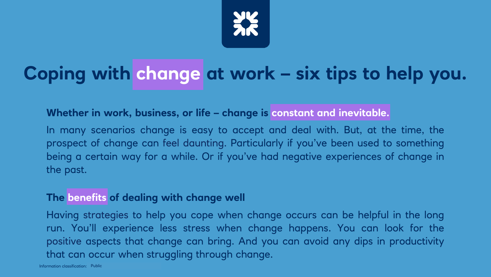

# **Coping with change at work – six tips to help you.**

#### **Whether in work, business, or life – change is constant and inevitable.**

In many scenarios change is easy to accept and deal with. But, at the time, the prospect of change can feel daunting. Particularly if you've been used to something being a certain way for a while. Or if you've had negative experiences of change in the past.

#### **The benefits of dealing with change well**

Having strategies to help you cope when change occurs can be helpful in the long run. You'll experience less stress when change happens. You can look for the positive aspects that change can bring. And you can avoid any dips in productivity that can occur when struggling through change.

Information classification: Public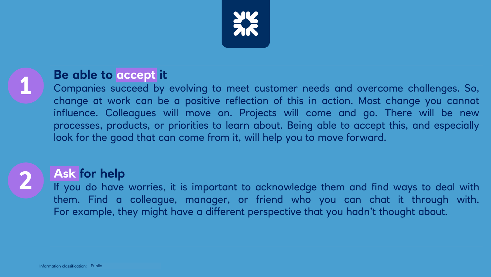



**2**

# **Be able to accept it**

Companies succeed by evolving to meet customer needs and overcome challenges. So, change at work can be a positive reflection of this in action. Most change you cannot influence. Colleagues will move on. Projects will come and go. There will be new processes, products, or priorities to learn about. Being able to accept this, and especially look for the good that can come from it, will help you to move forward.

# **Ask for help**

If you do have worries, it is important to acknowledge them and find ways to deal with them. Find a colleague, manager, or friend who you can chat it through with. For example, they might have a different perspective that you hadn't thought about.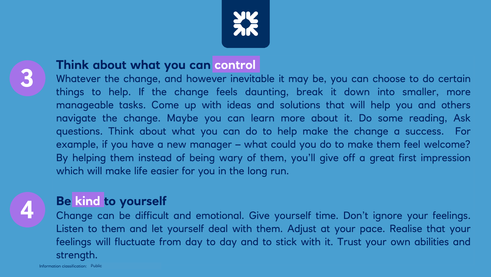



# **Think about what you can control**

Whatever the change, and however inevitable it may be, you can choose to do certain things to help. If the change feels daunting, break it down into smaller, more manageable tasks. Come up with ideas and solutions that will help you and others navigate the change. Maybe you can learn more about it. Do some reading, Ask questions. Think about what you can do to help make the change a success. For example, if you have a new manager – what could you do to make them feel welcome? By helping them instead of being wary of them, you'll give off a great first impression which will make life easier for you in the long run.



# **Be kind to yourself**

Change can be difficult and emotional. Give yourself time. Don't ignore your feelings. Listen to them and let yourself deal with them. Adjust at your pace. Realise that your feelings will fluctuate from day to day and to stick with it. Trust your own abilities and strength.